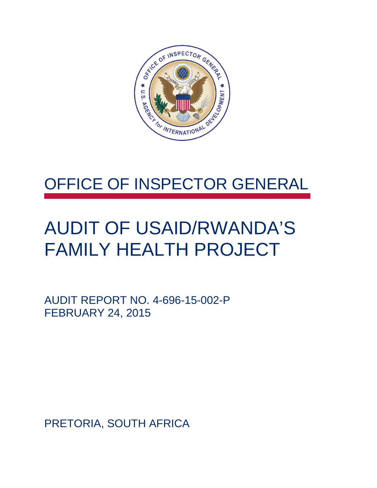

### OFFICE OF INSPECTOR GENERAL

### AUDIT OF USAID/RWANDA'S FAMILY HEALTH PROJECT

AUDIT REPORT NO. 4-696-15-002-P FEBRUARY 24, 2015

PRETORIA, SOUTH AFRICA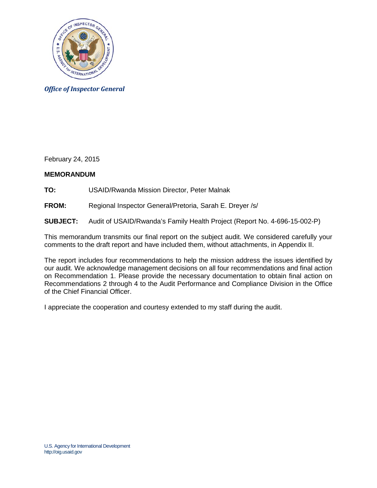

*Office of Inspector General*

February 24, 2015

#### **MEMORANDUM**

**TO:** USAID/Rwanda Mission Director, Peter Malnak

**FROM:** Regional Inspector General/Pretoria, Sarah E. Dreyer /s/

**SUBJECT:** Audit of USAID/Rwanda's Family Health Project (Report No. 4-696-15-002-P)

This memorandum transmits our final report on the subject audit. We considered carefully your comments to the draft report and have included them, without attachments, in Appendix II.

The report includes four recommendations to help the mission address the issues identified by our audit. We acknowledge management decisions on all four recommendations and final action on Recommendation 1. Please provide the necessary documentation to obtain final action on Recommendations 2 through 4 to the Audit Performance and Compliance Division in the Office of the Chief Financial Officer.

I appreciate the cooperation and courtesy extended to my staff during the audit.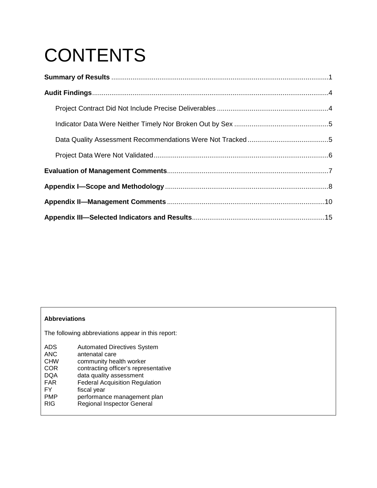# **CONTENTS**

#### **Abbreviations**

The following abbreviations appear in this report:

| <b>ADS</b> | <b>Automated Directives System</b>    |
|------------|---------------------------------------|
| <b>ANC</b> | antenatal care                        |
| <b>CHW</b> | community health worker               |
| COR        | contracting officer's representative  |
| <b>DQA</b> | data quality assessment               |
| <b>FAR</b> | <b>Federal Acquisition Regulation</b> |
| FY         | fiscal year                           |
| <b>PMP</b> | performance management plan           |
| <b>RIG</b> | <b>Regional Inspector General</b>     |
|            |                                       |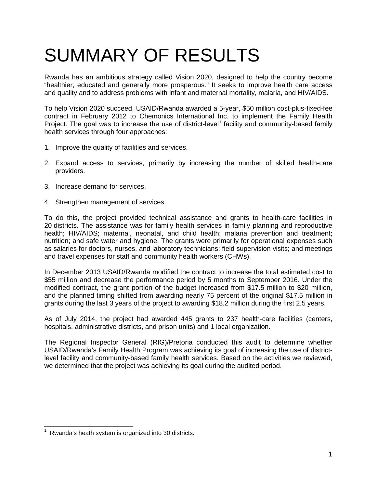## SUMMARY OF RESULTS

Rwanda has an ambitious strategy called Vision 2020, designed to help the country become "healthier, educated and generally more prosperous." It seeks to improve health care access and quality and to address problems with infant and maternal mortality, malaria, and HIV/AIDS.

To help Vision 2020 succeed, USAID/Rwanda awarded a 5-year, \$50 million cost-plus-fixed-fee contract in February 2012 to Chemonics International Inc. to implement the Family Health Project. The goal was to increase the use of district-level<sup>[1](#page-3-0)</sup> facility and community-based family health services through four approaches:

- <span id="page-3-1"></span>1. Improve the quality of facilities and services.
- 2. Expand access to services, primarily by increasing the number of skilled health-care providers.
- 3. Increase demand for services.
- 4. Strengthen management of services.

To do this, the project provided technical assistance and grants to health-care facilities in 20 districts. The assistance was for family health services in family planning and reproductive health; HIV/AIDS; maternal, neonatal, and child health; malaria prevention and treatment; nutrition; and safe water and hygiene. The grants were primarily for operational expenses such as salaries for doctors, nurses, and laboratory technicians; field supervision visits; and meetings and travel expenses for staff and community health workers (CHWs).

In December 2013 USAID/Rwanda modified the contract to increase the total estimated cost to \$55 million and decrease the performance period by 5 months to September 2016. Under the modified contract, the grant portion of the budget increased from \$17.5 million to \$20 million, and the planned timing shifted from awarding nearly 75 percent of the original \$17.5 million in grants during the last 3 years of the project to awarding \$18.2 million during the first 2.5 years.

As of July 2014, the project had awarded 445 grants to 237 health-care facilities (centers, hospitals, administrative districts, and prison units) and 1 local organization.

The Regional Inspector General (RIG)/Pretoria conducted this audit to determine whether USAID/Rwanda's Family Health Program was achieving its goal of increasing the use of districtlevel facility and community-based family health services. Based on the activities we reviewed, we determined that the project was achieving its goal during the audited period.

<span id="page-3-0"></span> $1$  Rwanda's heath system is organized into 30 districts.  $\overline{\phantom{a}}$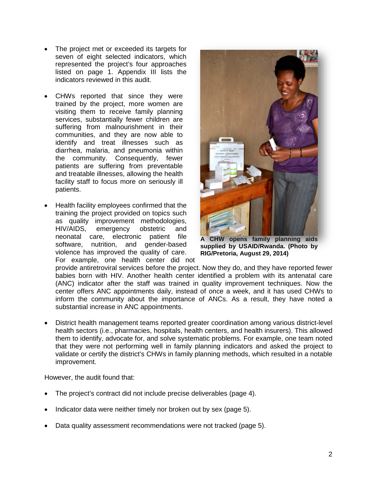- The project met or exceeded its targets for seven of eight selected indicators, which represented the project's four approaches listed on page [1.](#page-3-1) Appendix III lists the indicators reviewed in this audit.
- CHWs reported that since they were trained by the project, more women are visiting them to receive family planning services, substantially fewer children are suffering from malnourishment in their communities, and they are now able to identify and treat illnesses such as diarrhea, malaria, and pneumonia within the community. Consequently, fewer patients are suffering from preventable and treatable illnesses, allowing the health facility staff to focus more on seriously ill patients.
- Health facility employees confirmed that the training the project provided on topics such as quality improvement methodologies, HIV/AIDS, emergency obstetric and neonatal care, electronic patient file software, nutrition, and gender-based violence has improved the quality of care. For example, one health center did not



**A CHW opens family planning aids supplied by USAID/Rwanda. (Photo by RIG/Pretoria, August 29, 2014)**

provide antiretroviral services before the project. Now they do, and they have reported fewer babies born with HIV. Another health center identified a problem with its antenatal care (ANC) indicator after the staff was trained in quality improvement techniques. Now the center offers ANC appointments daily, instead of once a week, and it has used CHWs to inform the community about the importance of ANCs. As a result, they have noted a substantial increase in ANC appointments.

• District health management teams reported greater coordination among various district-level health sectors (i.e., pharmacies, hospitals, health centers, and health insurers). This allowed them to identify, advocate for, and solve systematic problems. For example, one team noted that they were not performing well in family planning indicators and asked the project to validate or certify the district's CHWs in family planning methods, which resulted in a notable improvement.

However, the audit found that:

- The project's contract did not include precise deliverables (page [4\)](#page-6-1).
- Indicator data were neither timely nor broken out by sex (page [5\)](#page-7-0).
- Data quality assessment recommendations were not tracked (page [5\)](#page-7-1).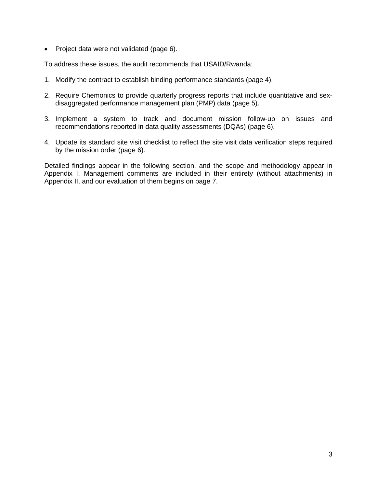• Project data were not validated (page 6).

To address these issues, the audit recommends that USAID/Rwanda:

- 1. Modify the contract to establish binding performance standards (page [4\)](#page-6-2).
- 2. Require Chemonics to provide quarterly progress reports that include quantitative and sexdisaggregated performance management plan (PMP) data (page 5).
- 3. Implement a system to track and document mission follow-up on issues and recommendations reported in data quality assessments (DQAs) (page [6\)](#page-8-2).
- 4. Update its standard site visit checklist to reflect the site visit data verification steps required by the mission order (page [6\)](#page-8-3).

Detailed findings appear in the following section, and the scope and methodology appear in Appendix I. Management comments are included in their entirety (without attachments) in Appendix II, and our evaluation of them begins on page [7.](#page-8-1)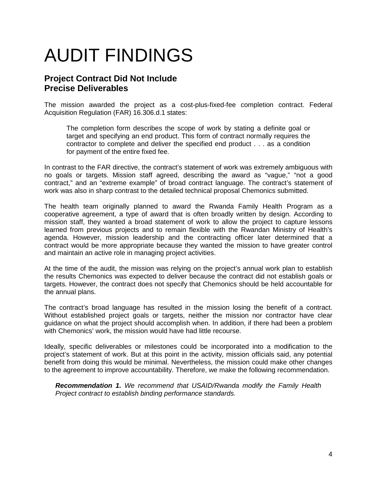## <span id="page-6-0"></span>AUDIT FINDINGS

### <span id="page-6-1"></span>**Project Contract Did Not Include Precise Deliverables**

The mission awarded the project as a cost-plus-fixed-fee completion contract. Federal Acquisition Regulation (FAR) 16.306.d.1 states:

The completion form describes the scope of work by stating a definite goal or target and specifying an end product. This form of contract normally requires the contractor to complete and deliver the specified end product . . . as a condition for payment of the entire fixed fee.

In contrast to the FAR directive, the contract's statement of work was extremely ambiguous with no goals or targets. Mission staff agreed, describing the award as "vague," "not a good contract," and an "extreme example" of broad contract language. The contract's statement of work was also in sharp contrast to the detailed technical proposal Chemonics submitted.

The health team originally planned to award the Rwanda Family Health Program as a cooperative agreement, a type of award that is often broadly written by design. According to mission staff, they wanted a broad statement of work to allow the project to capture lessons learned from previous projects and to remain flexible with the Rwandan Ministry of Health's agenda. However, mission leadership and the contracting officer later determined that a contract would be more appropriate because they wanted the mission to have greater control and maintain an active role in managing project activities.

At the time of the audit, the mission was relying on the project's annual work plan to establish the results Chemonics was expected to deliver because the contract did not establish goals or targets. However, the contract does not specify that Chemonics should be held accountable for the annual plans.

The contract's broad language has resulted in the mission losing the benefit of a contract. Without established project goals or targets, neither the mission nor contractor have clear guidance on what the project should accomplish when. In addition, if there had been a problem with Chemonics' work, the mission would have had little recourse.

Ideally, specific deliverables or milestones could be incorporated into a modification to the project's statement of work. But at this point in the activity, mission officials said, any potential benefit from doing this would be minimal. Nevertheless, the mission could make other changes to the agreement to improve accountability. Therefore, we make the following recommendation.

<span id="page-6-2"></span>*Recommendation 1. We recommend that USAID/Rwanda modify the Family Health Project contract to establish binding performance standards.*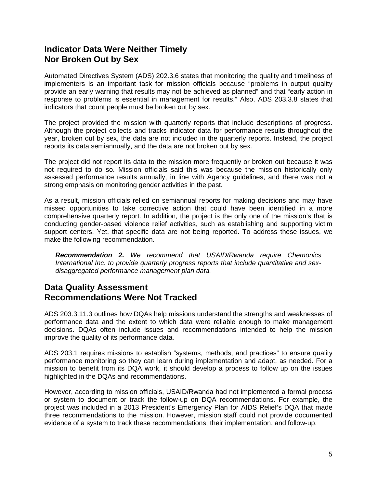### <span id="page-7-0"></span>**Indicator Data Were Neither Timely Nor Broken Out by Sex**

Automated Directives System (ADS) 202.3.6 states that monitoring the quality and timeliness of implementers is an important task for mission officials because "problems in output quality provide an early warning that results may not be achieved as planned" and that "early action in response to problems is essential in management for results." Also, ADS 203.3.8 states that indicators that count people must be broken out by sex.

The project provided the mission with quarterly reports that include descriptions of progress. Although the project collects and tracks indicator data for performance results throughout the year, broken out by sex, the data are not included in the quarterly reports. Instead, the project reports its data semiannually, and the data are not broken out by sex.

The project did not report its data to the mission more frequently or broken out because it was not required to do so. Mission officials said this was because the mission historically only assessed performance results annually, in line with Agency guidelines, and there was not a strong emphasis on monitoring gender activities in the past.

As a result, mission officials relied on semiannual reports for making decisions and may have missed opportunities to take corrective action that could have been identified in a more comprehensive quarterly report. In addition, the project is the only one of the mission's that is conducting gender-based violence relief activities, such as establishing and supporting victim support centers. Yet, that specific data are not being reported. To address these issues, we make the following recommendation.

*Recommendation 2. We recommend that USAID/Rwanda require Chemonics International Inc. to provide quarterly progress reports that include quantitative and sexdisaggregated performance management plan data.* 

### <span id="page-7-1"></span>**Data Quality Assessment Recommendations Were Not Tracked**

ADS 203.3.11.3 outlines how DQAs help missions understand the strengths and weaknesses of performance data and the extent to which data were reliable enough to make management decisions. DQAs often include issues and recommendations intended to help the mission improve the quality of its performance data.

ADS 203.1 requires missions to establish "systems, methods, and practices" to ensure quality performance monitoring so they can learn during implementation and adapt, as needed. For a mission to benefit from its DQA work, it should develop a process to follow up on the issues highlighted in the DQAs and recommendations.

However, according to mission officials, USAID/Rwanda had not implemented a formal process or system to document or track the follow-up on DQA recommendations. For example, the project was included in a 2013 President's Emergency Plan for AIDS Relief's DQA that made three recommendations to the mission. However, mission staff could not provide documented evidence of a system to track these recommendations, their implementation, and follow-up.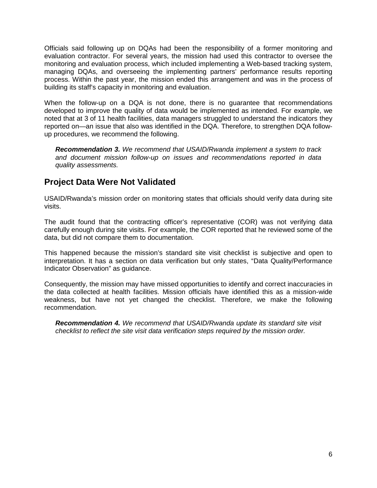Officials said following up on DQAs had been the responsibility of a former monitoring and evaluation contractor. For several years, the mission had used this contractor to oversee the monitoring and evaluation process, which included implementing a Web-based tracking system, managing DQAs, and overseeing the implementing partners' performance results reporting process. Within the past year, the mission ended this arrangement and was in the process of building its staff's capacity in monitoring and evaluation.

When the follow-up on a DQA is not done, there is no guarantee that recommendations developed to improve the quality of data would be implemented as intended. For example, we noted that at 3 of 11 health facilities, data managers struggled to understand the indicators they reported on—an issue that also was identified in the DQA. Therefore, to strengthen DQA followup procedures, we recommend the following.

<span id="page-8-2"></span><span id="page-8-0"></span>*Recommendation 3. We recommend that USAID/Rwanda implement a system to track and document mission follow-up on issues and recommendations reported in data quality assessments.*

### **Project Data Were Not Validated**

USAID/Rwanda's mission order on monitoring states that officials should verify data during site visits.

The audit found that the contracting officer's representative (COR) was not verifying data carefully enough during site visits. For example, the COR reported that he reviewed some of the data, but did not compare them to documentation.

This happened because the mission's standard site visit checklist is subjective and open to interpretation. It has a section on data verification but only states, "Data Quality/Performance Indicator Observation" as guidance.

Consequently, the mission may have missed opportunities to identify and correct inaccuracies in the data collected at health facilities. Mission officials have identified this as a mission-wide weakness, but have not yet changed the checklist. Therefore, we make the following recommendation.

<span id="page-8-3"></span><span id="page-8-1"></span>*Recommendation 4. We recommend that USAID/Rwanda update its standard site visit checklist to reflect the site visit data verification steps required by the mission order.*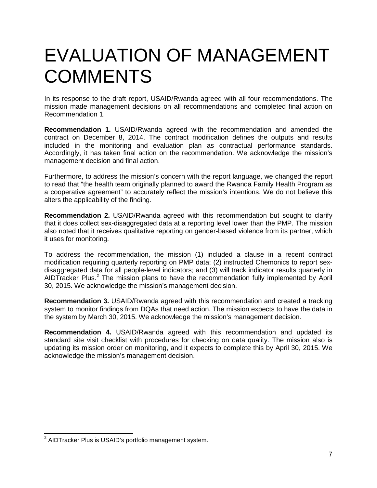### EVALUATION OF MANAGEMENT **COMMENTS**

In its response to the draft report, USAID/Rwanda agreed with all four recommendations. The mission made management decisions on all recommendations and completed final action on Recommendation 1.

**Recommendation 1.** USAID/Rwanda agreed with the recommendation and amended the contract on December 8, 2014. The contract modification defines the outputs and results included in the monitoring and evaluation plan as contractual performance standards. Accordingly, it has taken final action on the recommendation. We acknowledge the mission's management decision and final action.

Furthermore, to address the mission's concern with the report language, we changed the report to read that "the health team originally planned to award the Rwanda Family Health Program as a cooperative agreement" to accurately reflect the mission's intentions. We do not believe this alters the applicability of the finding.

**Recommendation 2.** USAID/Rwanda agreed with this recommendation but sought to clarify that it does collect sex-disaggregated data at a reporting level lower than the PMP. The mission also noted that it receives qualitative reporting on gender-based violence from its partner, which it uses for monitoring.

To address the recommendation, the mission (1) included a clause in a recent contract modification requiring quarterly reporting on PMP data; (2) instructed Chemonics to report sexdisaggregated data for all people-level indicators; and (3) will track indicator results quarterly in AIDTracker Plus.<sup>[2](#page-9-0)</sup> The mission plans to have the recommendation fully implemented by April 30, 2015. We acknowledge the mission's management decision.

**Recommendation 3.** USAID/Rwanda agreed with this recommendation and created a tracking system to monitor findings from DQAs that need action. The mission expects to have the data in the system by March 30, 2015. We acknowledge the mission's management decision.

**Recommendation 4.** USAID/Rwanda agreed with this recommendation and updated its standard site visit checklist with procedures for checking on data quality. The mission also is updating its mission order on monitoring, and it expects to complete this by April 30, 2015. We acknowledge the mission's management decision.

<span id="page-9-0"></span> $2$  AIDTracker Plus is USAID's portfolio management system.  $\overline{\phantom{a}}$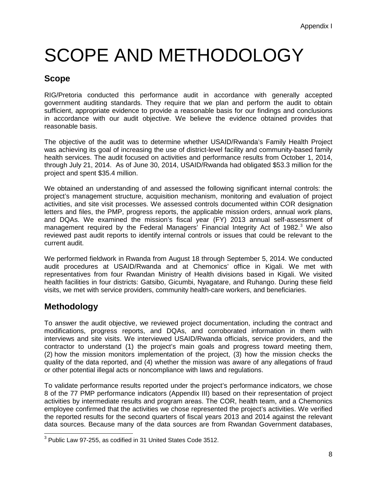## <span id="page-10-0"></span>SCOPE AND METHODOLOGY

### **Scope**

RIG/Pretoria conducted this performance audit in accordance with generally accepted government auditing standards. They require that we plan and perform the audit to obtain sufficient, appropriate evidence to provide a reasonable basis for our findings and conclusions in accordance with our audit objective. We believe the evidence obtained provides that reasonable basis.

The objective of the audit was to determine whether USAID/Rwanda's Family Health Project was achieving its goal of increasing the use of district-level facility and community-based family health services. The audit focused on activities and performance results from October 1, 2014, through July 21, 2014. As of June 30, 2014, USAID/Rwanda had obligated \$53.3 million for the project and spent \$35.4 million.

We obtained an understanding of and assessed the following significant internal controls: the project's management structure, acquisition mechanism, monitoring and evaluation of project activities, and site visit processes. We assessed controls documented within COR designation letters and files, the PMP, progress reports, the applicable mission orders, annual work plans, and DQAs. We examined the mission's fiscal year (FY) 2013 annual self-assessment of management required by the Federal Managers' Financial Integrity Act of 1982.<sup>[3](#page-10-1)</sup> We also reviewed past audit reports to identify internal controls or issues that could be relevant to the current audit.

We performed fieldwork in Rwanda from August 18 through September 5, 2014. We conducted audit procedures at USAID/Rwanda and at Chemonics' office in Kigali. We met with representatives from four Rwandan Ministry of Health divisions based in Kigali. We visited health facilities in four districts: Gatsibo, Gicumbi, Nyagatare, and Ruhango. During these field visits, we met with service providers, community health-care workers, and beneficiaries.

### **Methodology**

To answer the audit objective, we reviewed project documentation, including the contract and modifications, progress reports, and DQAs, and corroborated information in them with interviews and site visits. We interviewed USAID/Rwanda officials, service providers, and the contractor to understand (1) the project's main goals and progress toward meeting them, (2) how the mission monitors implementation of the project, (3) how the mission checks the quality of the data reported, and (4) whether the mission was aware of any allegations of fraud or other potential illegal acts or noncompliance with laws and regulations.

To validate performance results reported under the project's performance indicators, we chose 8 of the 77 PMP performance indicators (Appendix III) based on their representation of project activities by intermediate results and program areas. The COR, health team, and a Chemonics employee confirmed that the activities we chose represented the project's activities. We verified the reported results for the second quarters of fiscal years 2013 and 2014 against the relevant data sources. Because many of the data sources are from Rwandan Government databases,

<span id="page-10-1"></span> $3$  Public Law 97-255, as codified in 31 United States Code 3512.  $\overline{\phantom{a}}$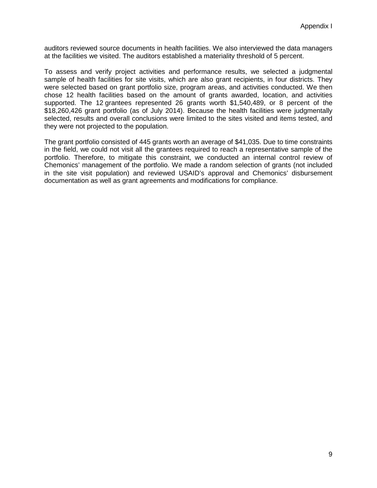auditors reviewed source documents in health facilities. We also interviewed the data managers at the facilities we visited. The auditors established a materiality threshold of 5 percent.

To assess and verify project activities and performance results, we selected a judgmental sample of health facilities for site visits, which are also grant recipients, in four districts. They were selected based on grant portfolio size, program areas, and activities conducted. We then chose 12 health facilities based on the amount of grants awarded, location, and activities supported. The 12 grantees represented 26 grants worth \$1,540,489, or 8 percent of the \$18,260,426 grant portfolio (as of July 2014). Because the health facilities were judgmentally selected, results and overall conclusions were limited to the sites visited and items tested, and they were not projected to the population.

The grant portfolio consisted of 445 grants worth an average of \$41,035. Due to time constraints in the field, we could not visit all the grantees required to reach a representative sample of the portfolio. Therefore, to mitigate this constraint, we conducted an internal control review of Chemonics' management of the portfolio. We made a random selection of grants (not included in the site visit population) and reviewed USAID's approval and Chemonics' disbursement documentation as well as grant agreements and modifications for compliance.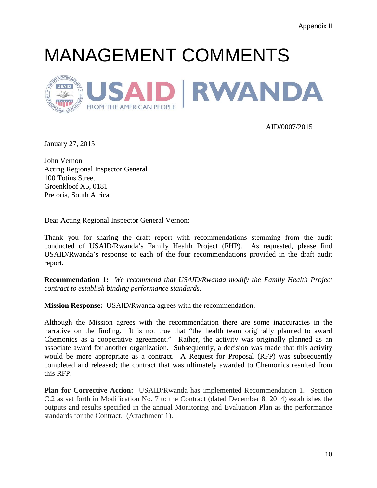## <span id="page-12-0"></span>MANAGEMENT COMMENTS



AID/0007/2015

January 27, 2015

John Vernon Acting Regional Inspector General 100 Totius Street Groenkloof X5, 0181 Pretoria, South Africa

Dear Acting Regional Inspector General Vernon:

Thank you for sharing the draft report with recommendations stemming from the audit conducted of USAID/Rwanda's Family Health Project (FHP). As requested, please find USAID/Rwanda's response to each of the four recommendations provided in the draft audit report.

**Recommendation 1:** *We recommend that USAID/Rwanda modify the Family Health Project contract to establish binding performance standards.*

**Mission Response:** USAID/Rwanda agrees with the recommendation.

Although the Mission agrees with the recommendation there are some inaccuracies in the narrative on the finding. It is not true that "the health team originally planned to award Chemonics as a cooperative agreement." Rather, the activity was originally planned as an associate award for another organization. Subsequently, a decision was made that this activity would be more appropriate as a contract. A Request for Proposal (RFP) was subsequently completed and released; the contract that was ultimately awarded to Chemonics resulted from this RFP.

**Plan for Corrective Action:** USAID/Rwanda has implemented Recommendation 1. Section C.2 as set forth in Modification No. 7 to the Contract (dated December 8, 2014) establishes the outputs and results specified in the annual Monitoring and Evaluation Plan as the performance standards for the Contract. (Attachment 1).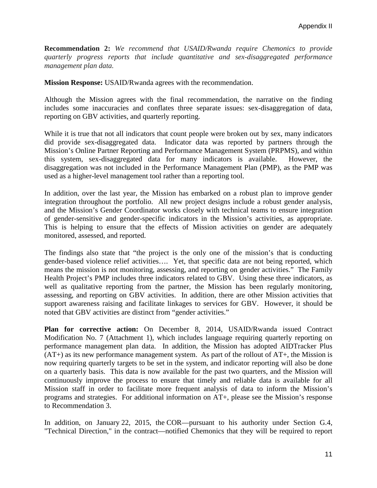**Recommendation 2:** *We recommend that USAID/Rwanda require Chemonics to provide quarterly progress reports that include quantitative and sex-disaggregated performance management plan data.*

**Mission Response:** USAID/Rwanda agrees with the recommendation.

Although the Mission agrees with the final recommendation, the narrative on the finding includes some inaccuracies and conflates three separate issues: sex-disaggregation of data, reporting on GBV activities, and quarterly reporting.

While it is true that not all indicators that count people were broken out by sex, many indicators did provide sex-disaggregated data. Indicator data was reported by partners through the Mission's Online Partner Reporting and Performance Management System (PRPMS), and within this system, sex-disaggregated data for many indicators is available. However, the disaggregation was not included in the Performance Management Plan (PMP), as the PMP was used as a higher-level management tool rather than a reporting tool.

In addition, over the last year, the Mission has embarked on a robust plan to improve gender integration throughout the portfolio. All new project designs include a robust gender analysis, and the Mission's Gender Coordinator works closely with technical teams to ensure integration of gender-sensitive and gender-specific indicators in the Mission's activities, as appropriate. This is helping to ensure that the effects of Mission activities on gender are adequately monitored, assessed, and reported.

The findings also state that "the project is the only one of the mission's that is conducting gender-based violence relief activities…. Yet, that specific data are not being reported, which means the mission is not monitoring, assessing, and reporting on gender activities." The Family Health Project's PMP includes three indicators related to GBV. Using these three indicators, as well as qualitative reporting from the partner, the Mission has been regularly monitoring, assessing, and reporting on GBV activities. In addition, there are other Mission activities that support awareness raising and facilitate linkages to services for GBV. However, it should be noted that GBV activities are distinct from "gender activities."

**Plan for corrective action:** On December 8, 2014, USAID/Rwanda issued Contract Modification No. 7 (Attachment 1), which includes language requiring quarterly reporting on performance management plan data. In addition, the Mission has adopted AIDTracker Plus  $(AT+)$  as its new performance management system. As part of the rollout of  $AT<sub>+</sub>$ , the Mission is now requiring quarterly targets to be set in the system, and indicator reporting will also be done on a quarterly basis. This data is now available for the past two quarters, and the Mission will continuously improve the process to ensure that timely and reliable data is available for all Mission staff in order to facilitate more frequent analysis of data to inform the Mission's programs and strategies. For additional information on AT+, please see the Mission's response to Recommendation 3.

In addition, on January 22, 2015, the COR—pursuant to his authority under Section G.4, "Technical Direction," in the contract—notified Chemonics that they will be required to report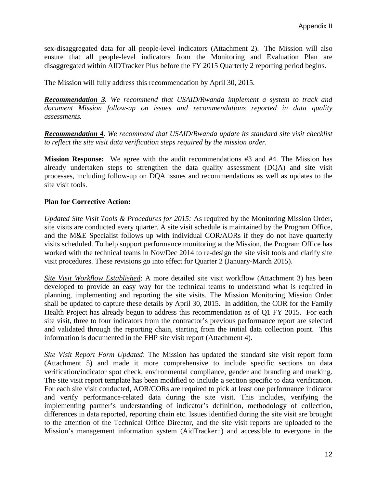sex-disaggregated data for all people-level indicators (Attachment 2). The Mission will also ensure that all people-level indicators from the Monitoring and Evaluation Plan are disaggregated within AIDTracker Plus before the FY 2015 Quarterly 2 reporting period begins.

The Mission will fully address this recommendation by April 30, 2015.

*Recommendation 3. We recommend that USAID/Rwanda implement a system to track and document Mission follow-up on issues and recommendations reported in data quality assessments.*

*Recommendation 4. We recommend that USAID/Rwanda update its standard site visit checklist to reflect the site visit data verification steps required by the mission order.*

**Mission Response:** We agree with the audit recommendations #3 and #4. The Mission has already undertaken steps to strengthen the data quality assessment (DQA) and site visit processes, including follow-up on DQA issues and recommendations as well as updates to the site visit tools.

#### **Plan for Corrective Action:**

*Updated Site Visit Tools & Procedures for 2015:* As required by the Monitoring Mission Order, site visits are conducted every quarter. A site visit schedule is maintained by the Program Office, and the M&E Specialist follows up with individual COR/AORs if they do not have quarterly visits scheduled. To help support performance monitoring at the Mission, the Program Office has worked with the technical teams in Nov/Dec 2014 to re-design the site visit tools and clarify site visit procedures. These revisions go into effect for Quarter 2 (January-March 2015).

*Site Visit Workflow Established*: A more detailed site visit workflow (Attachment 3) has been developed to provide an easy way for the technical teams to understand what is required in planning, implementing and reporting the site visits. The Mission Monitoring Mission Order shall be updated to capture these details by April 30, 2015. In addition, the COR for the Family Health Project has already begun to address this recommendation as of Q1 FY 2015. For each site visit, three to four indicators from the contractor's previous performance report are selected and validated through the reporting chain, starting from the initial data collection point. This information is documented in the FHP site visit report (Attachment 4).

*Site Visit Report Form Updated*: The Mission has updated the standard site visit report form (Attachment 5) and made it more comprehensive to include specific sections on data verification/indicator spot check, environmental compliance, gender and branding and marking. The site visit report template has been modified to include a section specific to data verification. For each site visit conducted, AOR/CORs are required to pick at least one performance indicator and verify performance-related data during the site visit. This includes, verifying the implementing partner's understanding of indicator's definition, methodology of collection, differences in data reported, reporting chain etc. Issues identified during the site visit are brought to the attention of the Technical Office Director, and the site visit reports are uploaded to the Mission's management information system (AidTracker+) and accessible to everyone in the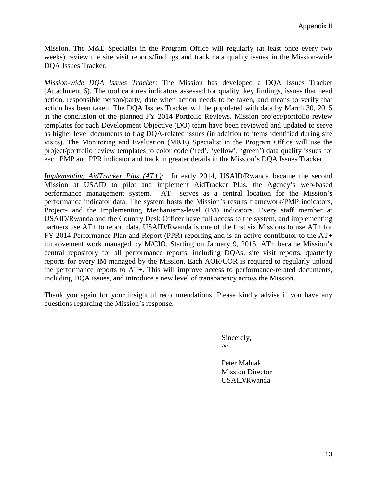Mission. The M&E Specialist in the Program Office will regularly (at least once every two weeks) review the site visit reports/findings and track data quality issues in the Mission-wide DQA Issues Tracker.

*Mission-wide DQA Issues Tracker:* The Mission has developed a DQA Issues Tracker (Attachment 6). The tool captures indicators assessed for quality, key findings, issues that need action, responsible person/party, date when action needs to be taken, and means to verify that action has been taken. The DQA Issues Tracker will be populated with data by March 30, 2015 at the conclusion of the planned FY 2014 Portfolio Reviews. Mission project/portfolio review templates for each Development Objective (DO) team have been reviewed and updated to serve as higher level documents to flag DQA-related issues (in addition to items identified during site visits). The Monitoring and Evaluation (M&E) Specialist in the Program Office will use the project/portfolio review templates to color code ('red', 'yellow', 'green') data quality issues for each PMP and PPR indicator and track in greater details in the Mission's DQA Issues Tracker.

*Implementing AidTracker Plus (AT+):*In early 2014, USAID/Rwanda became the second Mission at USAID to pilot and implement AidTracker Plus, the Agency's web-based performance management system. AT+ serves as a central location for the Mission's performance indicator data. The system hosts the Mission's results framework/PMP indicators, Project- and the Implementing Mechanisms-level (IM) indicators. Every staff member at USAID/Rwanda and the Country Desk Officer have full access to the system, and implementing partners use AT+ to report data. USAID/Rwanda is one of the first six Missions to use AT+ for FY 2014 Performance Plan and Report (PPR) reporting and is an active contributor to the AT+ improvement work managed by M/CIO. Starting on January 9, 2015, AT+ became Mission's central repository for all performance reports, including DQAs, site visit reports, quarterly reports for every IM managed by the Mission. Each AOR/COR is required to regularly upload the performance reports to AT+. This will improve access to performance-related documents, including DQA issues, and introduce a new level of transparency across the Mission.

Thank you again for your insightful recommendations. Please kindly advise if you have any questions regarding the Mission's response.

> Sincerely, /s/

Peter Malnak Mission Director USAID/Rwanda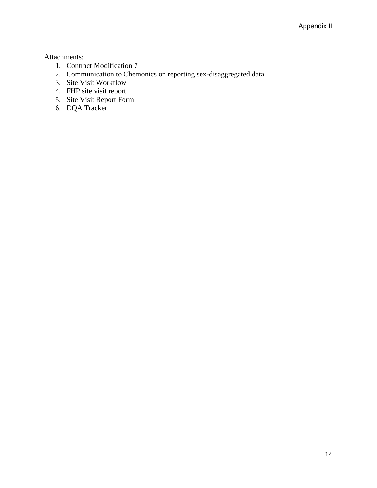Attachments:

- 1. Contract Modification 7
- 2. Communication to Chemonics on reporting sex-disaggregated data
- 3. Site Visit Workflow
- 4. FHP site visit report
- 5. Site Visit Report Form
- 6. DQA Tracker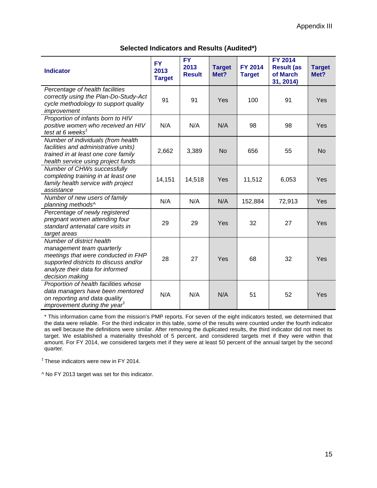<span id="page-17-0"></span>

| <b>Indicator</b>                                                                                                                                                                             | <b>FY</b><br>2013<br><b>Target</b> | <b>FY</b><br>2013<br><b>Result</b> | <b>Target</b><br>Met? | <b>FY 2014</b><br><b>Target</b> | <b>FY 2014</b><br><b>Result (as</b><br>of March<br>31, 2014) | <b>Target</b><br>Met? |
|----------------------------------------------------------------------------------------------------------------------------------------------------------------------------------------------|------------------------------------|------------------------------------|-----------------------|---------------------------------|--------------------------------------------------------------|-----------------------|
| Percentage of health facilities<br>correctly using the Plan-Do-Study-Act<br>cycle methodology to support quality<br>improvement                                                              | 91                                 | 91                                 | Yes                   | 100                             | 91                                                           | Yes                   |
| Proportion of infants born to HIV<br>positive women who received an HIV<br>test at 6 weeks $‡$                                                                                               | N/A                                | N/A                                | N/A                   | 98                              | 98                                                           | Yes                   |
| Number of individuals (from health<br>facilities and administrative units)<br>trained in at least one core family<br>health service using project funds                                      | 2,662                              | 3,389                              | <b>No</b>             | 656                             | 55                                                           | <b>No</b>             |
| Number of CHWs successfully<br>completing training in at least one<br>family health service with project<br>assistance                                                                       | 14,151                             | 14,518                             | Yes                   | 11,512                          | 6,053                                                        | Yes                   |
| Number of new users of family<br>planning methods^                                                                                                                                           | N/A                                | N/A                                | N/A                   | 152,884                         | 72,913                                                       | Yes                   |
| Percentage of newly registered<br>pregnant women attending four<br>standard antenatal care visits in<br>target areas                                                                         | 29                                 | 29                                 | Yes                   | 32                              | 27                                                           | Yes                   |
| Number of district health<br>management team quarterly<br>meetings that were conducted in FHP<br>supported districts to discuss and/or<br>analyze their data for informed<br>decision making | 28                                 | 27                                 | Yes                   | 68                              | 32                                                           | Yes                   |
| Proportion of health facilities whose<br>data managers have been mentored<br>on reporting and data quality<br>improvement during the year <sup><math>#</math></sup>                          | N/A                                | N/A                                | N/A                   | 51                              | 52                                                           | Yes                   |

#### **Selected Indicators and Results (Audited\*)**

\* This information came from the mission's PMP reports. For seven of the eight indicators tested, we determined that the data were reliable. For the third indicator in this table, some of the results were counted under the fourth indicator as well because the definitions were similar. After removing the duplicated results, the third indicator did not meet its target. We established a materiality threshold of 5 percent, and considered targets met if they were within that amount. For FY 2014, we considered targets met if they were at least 50 percent of the annual target by the second quarter.

‡ These indicators were new in FY 2014.

^ No FY 2013 target was set for this indicator.